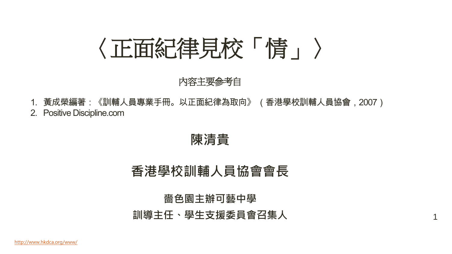# 〈正面紀律見校「情」〉

#### 內容主要參考自

1. 黃成榮編著:《訓輔人員專業手冊。以正面紀律為取向》 (香港學校訓輔人員協會,2007) 2. Positive Discipline.com

陳清貴

#### 香港學校訓輔人員協會會長

#### 嗇色園主辦可藝中學

訓導主任、學生支援委員會召集人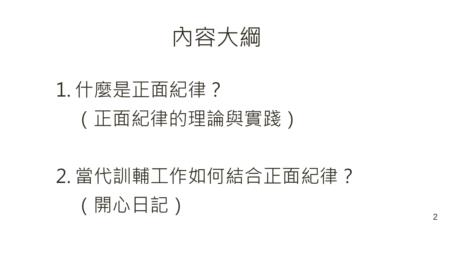

# 1. 什麼是正面紀律? (正面紀律的理論與實踐)

# 2. 當代訓輔工作如何結合正面紀律? (開心日記) 2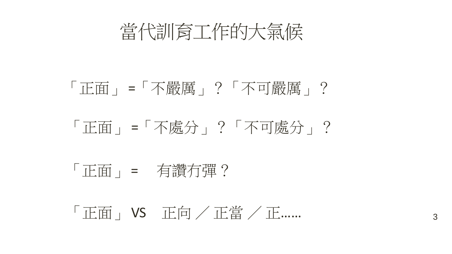當代訓育工作的大氣候

## 「正面」 =「不嚴厲」?「不可嚴厲」?

## 「正面」 =「不處分」?「不可處分」?

## 「正面」 = 有讚冇彈?

## 「正面」 VS 正向 / 正當 / 正…… 3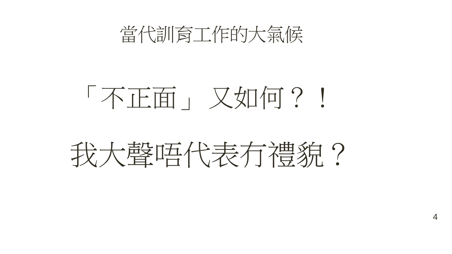

# 「不正面」 又如何?!

# 我大聲唔代表有禮貌?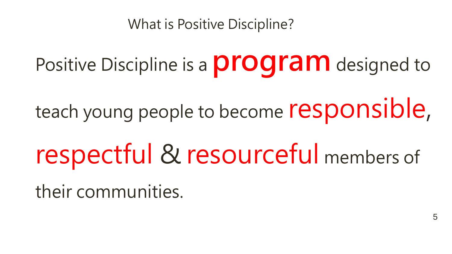What is Positive Discipline?

Positive Discipline is a **program** designed to

teach young people to become responsible,

respectful & resourceful members of

their communities.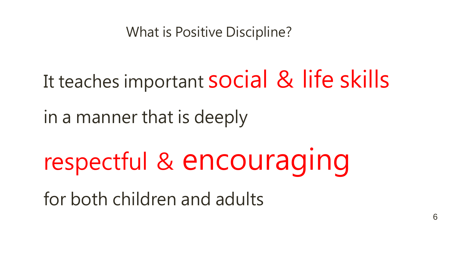What is Positive Discipline?

It teaches important **SOCial & life skills** 

in a manner that is deeply

respectful & encouraging

for both children and adults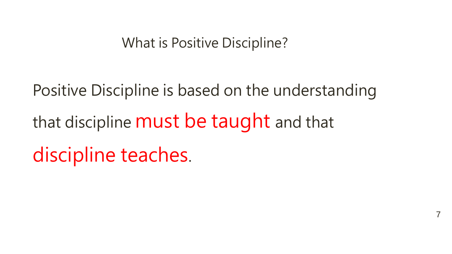What is Positive Discipline?

Positive Discipline is based on the understanding that discipline **must be taught** and that discipline teaches.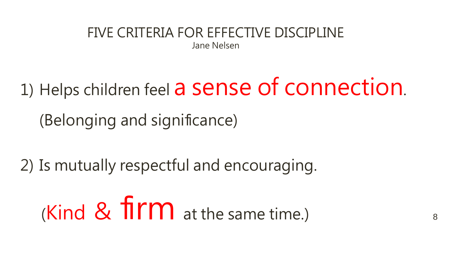FIVE CRITERIA FOR EFFECTIVE DISCIPLINE

Jane Nelsen

1) Helps children feel a sense of connection.

8

(Belonging and significance)

2) Is mutually respectful and encouraging.

(Kind  $\&$  firm at the same time.)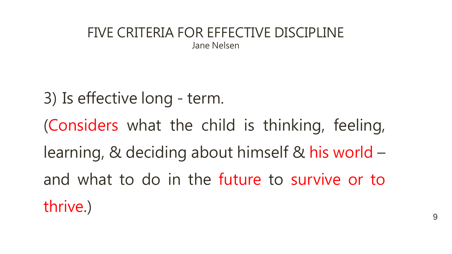#### FIVE CRITERIA FOR EFFECTIVE DISCIPLINE Jane Nelsen

3) Is effective long - term. (Considers what the child is thinking, feeling, learning, & deciding about himself & his world – and what to do in the future to survive or to thrive.)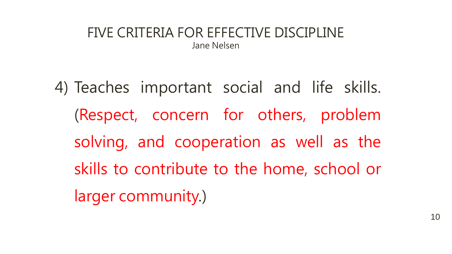#### FIVE CRITERIA FOR EFFECTIVE DISCIPLINE Jane Nelsen

4) Teaches important social and life skills. (Respect, concern for others, problem solving, and cooperation as well as the skills to contribute to the home, school or larger community.)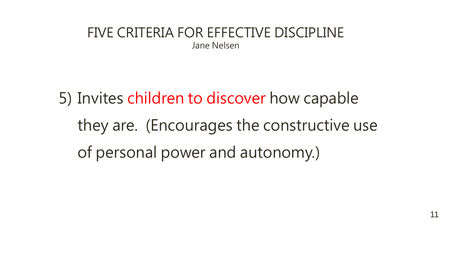#### FIVE CRITERIA FOR EFFECTIVE DISCIPLINE Jane Nelsen

5) Invites children to discover how capable they are. (Encourages the constructive use of personal power and autonomy.)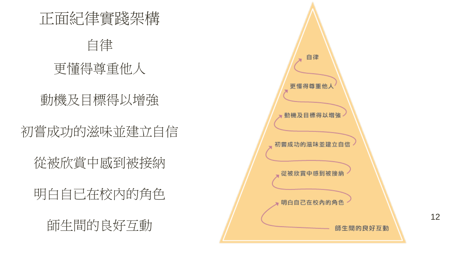正面紀律實踐架構

#### 自律

### 更懂得尊重他人

#### 動機及目標得以增強

## 初嘗成功的滋味並建立自信

從被欣賞中感到被接納

## 明白自已在校內的角色

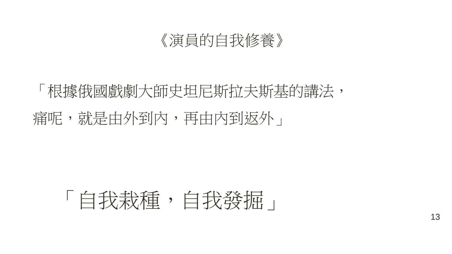#### 《演員的自我修養》

## 「根據俄國戲劇大師史坦尼斯拉夫斯基的講法,

## 痛呢,就是由外到內,再由內到返外」

# 「自我栽種,自我發掘」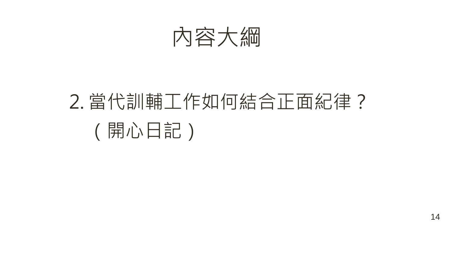

# 2. 當代訓輔工作如何結合正面紀律? (開心日記)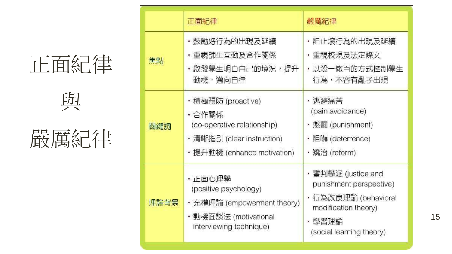# 正面紀律

與



|      | 正面紀律                                                                                                                 | 嚴厲紀律                                                                                                                              |
|------|----------------------------------------------------------------------------------------------------------------------|-----------------------------------------------------------------------------------------------------------------------------------|
| 焦點   | ・鼓勵好行為的出現及延續<br>・重視師生互動及合作關係<br>・啟發學生明白自己的境況,提升<br>動機,邁向自律                                                           | 阻止壞行為的出現及延續<br>・重視校規及法定條文<br>・以殺ー儆百的方式控制學生<br>行為,不容有亂子出現                                                                          |
| 關鍵詞  | ・積極預防 (proactive)<br>・合作關係<br>(co-operative relationship)<br>・清晰指引 (clear instruction)<br>・提升動機 (enhance motivation) | ・逃避痛苦<br>(pain avoidance)<br>・懲罰 (punishment)<br>・阻嚇 (deterrence)<br>・矯治 (reform)                                                 |
| 理論背景 | ・正面心理學<br>(positive psychology)<br>・充權理論 (empowerment theory)<br>・動機面談法 (motivational<br>interviewing technique)     | ・審判學派 (justice and<br>punishment perspective)<br>・行為改良理論 (behavioral<br>modification theory)<br>・學習理論<br>(social learning theory) |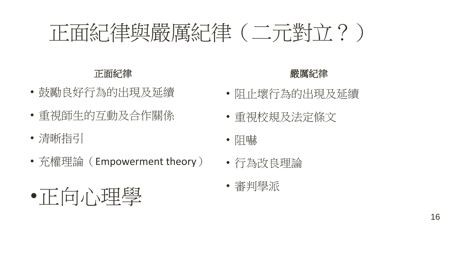# 正面紀律與嚴厲紀律(二元對立?)

#### 正面紀律

- 鼓勵良好行為的出現及延續
- 重視師生的互動及合作關係

•正向心理學

- 清晰指引
- 充權理論(Empowerment theory)

#### 嚴厲紀律

- 阻止壞行為的出現及延續
- 重視校規及法定條文
- 阻嚇
- 行為改良理論
- 審判學派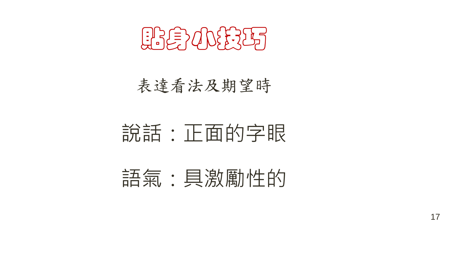貼身小技巧

表達看法及期望時

## 說話:正面的字眼

語氣:具激勵性的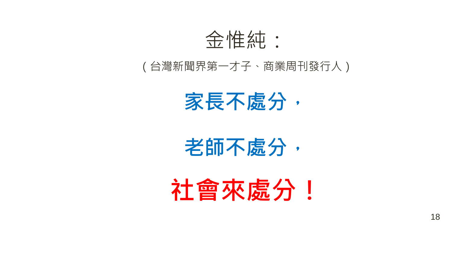

#### (台灣新聞界第一才子、商業周刊發行人)



老師不處分,

社會來處分!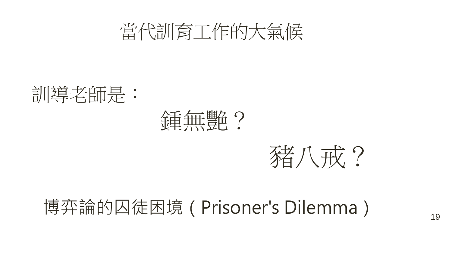







## 博弈論的囚徒困境 (Prisoner's Dilemma) 19